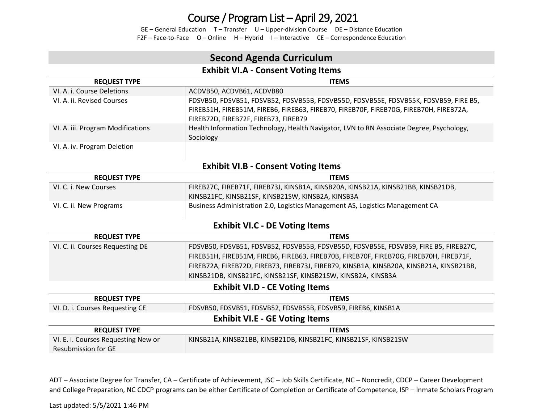GE – General Education T – Transfer U – Upper-division Course DE – Distance Education F2F – Face-to-Face O – Online H – Hybrid I – Interactive CE – Correspondence Education

## **Second Agenda Curriculum**

### **Exhibit VI.A - Consent Voting Items**

| <b>REQUEST TYPE</b>               | <b>ITEMS</b>                                                                                                                                                                                                          |
|-----------------------------------|-----------------------------------------------------------------------------------------------------------------------------------------------------------------------------------------------------------------------|
| VI. A. i. Course Deletions        | ACDVB50, ACDVB61, ACDVB80                                                                                                                                                                                             |
| VI. A. ii. Revised Courses        | FDSVB50, FDSVB51, FDSVB52, FDSVB55B, FDSVB55D, FDSVB55E, FDSVB55K, FDSVB59, FIRE B5,<br>FIREB51H, FIREB51M, FIREB6, FIREB63, FIREB70, FIREB70F, FIREB70G, FIREB70H, FIREB72A,<br>FIREB72D, FIREB72F, FIREB73, FIREB79 |
| VI. A. iii. Program Modifications | Health Information Technology, Health Navigator, LVN to RN Associate Degree, Psychology,<br>Sociology                                                                                                                 |
| VI. A. iv. Program Deletion       |                                                                                                                                                                                                                       |

#### **Exhibit VI.B - Consent Voting Items**

| <b>REQUEST TYPE</b>     | <b>ITEMS</b>                                                                     |
|-------------------------|----------------------------------------------------------------------------------|
| VI. C. i. New Courses   | FIREB27C, FIREB71F, FIREB73J, KINSB1A, KINSB20A, KINSB21A, KINSB21BB, KINSB21DB, |
|                         | KINSB21FC, KINSB21SF, KINSB21SW, KINSB2A, KINSB3A                                |
| VI. C. ii. New Programs | Business Administration 2.0, Logistics Management AS, Logistics Management CA    |

### **Exhibit VI.C - DE Voting Items**

| <b>REQUEST TYPE</b>              | <b>ITEMS</b>                                                                            |  |  |
|----------------------------------|-----------------------------------------------------------------------------------------|--|--|
| VI. C. ii. Courses Requesting DE | FDSVB50, FDSVB51, FDSVB52, FDSVB55B, FDSVB55D, FDSVB55E, FDSVB59, FIRE B5, FIREB27C,    |  |  |
|                                  | FIREB51H, FIREB51M, FIREB6, FIREB63, FIREB70B, FIREB70F, FIREB70G, FIREB70H, FIREB71F,  |  |  |
|                                  | FIREB72A, FIREB72D, FIREB73, FIREB73J, FIREB79, KINSB1A, KINSB20A, KINSB21A, KINSB21BB, |  |  |
|                                  | KINSB21DB, KINSB21FC, KINSB21SF, KINSB21SW, KINSB2A, KINSB3A                            |  |  |
|                                  |                                                                                         |  |  |

#### **Exhibit VI.D - CE Voting Items**

| <b>REQUEST TYPE</b>                   | <b>ITEMS</b>                                                    |  |
|---------------------------------------|-----------------------------------------------------------------|--|
| VI. D. i. Courses Requesting CE       | FDSVB50, FDSVB51, FDSVB52, FDSVB55B, FDSVB59, FIREB6, KINSB1A   |  |
| <b>Exhibit VI.E - GE Voting Items</b> |                                                                 |  |
| <b>REQUEST TYPE</b>                   | <b>ITEMS</b>                                                    |  |
| VI. E. i. Courses Requesting New or   | KINSB21A, KINSB21BB, KINSB21DB, KINSB21FC, KINSB21SF, KINSB21SW |  |
| <b>Resubmission for GE</b>            |                                                                 |  |

ADT – Associate Degree for Transfer, CA – Certificate of Achievement, JSC – Job Skills Certificate, NC – Noncredit, CDCP – Career Development and College Preparation, NC CDCP programs can be either Certificate of Completion or Certificate of Competence, ISP – Inmate Scholars Program

Last updated: 5/5/2021 1:46 PM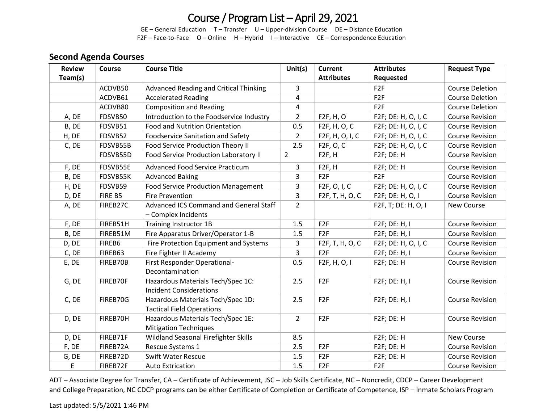GE – General Education T – Transfer U – Upper-division Course DE – Distance Education F2F – Face-to-Face O – Online H – Hybrid I – Interactive CE – Correspondence Education

#### **Second Agenda Courses**

| <b>Review</b> | Course   | <b>Course Title</b>                                                   | Unit $(s)$     | <b>Current</b>            | <b>Attributes</b>   | <b>Request Type</b>    |
|---------------|----------|-----------------------------------------------------------------------|----------------|---------------------------|---------------------|------------------------|
| Team(s)       |          |                                                                       |                | <b>Attributes</b>         | Requested           |                        |
|               | ACDVB50  | <b>Advanced Reading and Critical Thinking</b>                         | 3              |                           | F <sub>2F</sub>     | Course Deletion        |
|               | ACDVB61  | <b>Accelerated Reading</b>                                            | 4              |                           | F <sub>2F</sub>     | <b>Course Deletion</b> |
|               | ACDVB80  | <b>Composition and Reading</b>                                        | $\overline{a}$ |                           | F <sub>2F</sub>     | <b>Course Deletion</b> |
| A, DE         | FDSVB50  | Introduction to the Foodservice Industry                              | $\overline{2}$ | F2F, H, O                 | F2F; DE: H, O, I, C | <b>Course Revision</b> |
| B, DE         | FDSVB51  | <b>Food and Nutrition Orientation</b>                                 | 0.5            | F <sub>2</sub> F, H, O, C | F2F; DE: H, O, I, C | <b>Course Revision</b> |
| H, DE         | FDSVB52  | <b>Foodservice Sanitation and Safety</b>                              | $\overline{2}$ | F2F, H, O, I, C           | F2F; DE: H, O, I, C | <b>Course Revision</b> |
| C, DE         | FDSVB55B | Food Service Production Theory II                                     | 2.5            | F2F, O, C                 | F2F; DE: H, O, I, C | <b>Course Revision</b> |
|               | FDSVB55D | Food Service Production Laboratory II                                 | $\overline{2}$ | F <sub>2F</sub> , H       | F2F; DE: H          | <b>Course Revision</b> |
| F, DE         | FDSVB55E | <b>Advanced Food Service Practicum</b>                                | 3              | F <sub>2F</sub> , H       | F2F; DE: H          | <b>Course Revision</b> |
| B, DE         | FDSVB55K | <b>Advanced Baking</b>                                                | 3              | F <sub>2F</sub>           | F <sub>2F</sub>     | <b>Course Revision</b> |
| H, DE         | FDSVB59  | <b>Food Service Production Management</b>                             | 3              | F2F, O, I, C              | F2F; DE: H, O, I, C | <b>Course Revision</b> |
| D, DE         | FIRE B5  | <b>Fire Prevention</b>                                                | 3              | F2F, T, H, O, C           | F2F; DE: H, O, I    | <b>Course Revision</b> |
| A, DE         | FIREB27C | Advanced ICS Command and General Staff<br>- Complex Incidents         | $\overline{2}$ |                           | F2F, T; DE: H, O, I | New Course             |
| F, DE         | FIREB51H | <b>Training Instructor 1B</b>                                         | 1.5            | F <sub>2F</sub>           | F2F; DE: H, I       | <b>Course Revision</b> |
| B, DE         | FIREB51M | Fire Apparatus Driver/Operator 1-B                                    | 1.5            | F <sub>2F</sub>           | F2F; DE: H, I       | <b>Course Revision</b> |
| D, DE         | FIREB6   | Fire Protection Equipment and Systems                                 | 3              | F2F, T, H, O, C           | F2F; DE: H, O, I, C | <b>Course Revision</b> |
| C, DE         | FIREB63  | Fire Fighter II Academy                                               | $\overline{3}$ | F <sub>2F</sub>           | F2F; DE: H, I       | <b>Course Revision</b> |
| E, DE         | FIREB70B | First Responder Operational-<br>Decontamination                       | 0.5            | F <sub>2F</sub> , H, O, I | F2F; DE: H          | <b>Course Revision</b> |
| G, DE         | FIREB70F | Hazardous Materials Tech/Spec 1C:<br><b>Incident Considerations</b>   | 2.5            | F <sub>2F</sub>           | F2F; DE: H, I       | <b>Course Revision</b> |
| C, DE         | FIREB70G | Hazardous Materials Tech/Spec 1D:<br><b>Tactical Field Operations</b> | 2.5            | F <sub>2F</sub>           | F2F; DE: H, I       | <b>Course Revision</b> |
| D, DE         | FIREB70H | Hazardous Materials Tech/Spec 1E:<br><b>Mitigation Techniques</b>     | $\overline{2}$ | F <sub>2F</sub>           | F2F; DE: H          | <b>Course Revision</b> |
| D, DE         | FIREB71F | Wildland Seasonal Firefighter Skills                                  | 8.5            |                           | F2F; DE: H          | New Course             |
| F, DE         | FIREB72A | Rescue Systems 1                                                      | 2.5            | F <sub>2F</sub>           | F2F; DE: H          | <b>Course Revision</b> |
| G, DE         | FIREB72D | <b>Swift Water Rescue</b>                                             | 1.5            | F <sub>2F</sub>           | F2F; DE: H          | <b>Course Revision</b> |
| E             | FIREB72F | <b>Auto Extrication</b>                                               | 1.5            | F <sub>2F</sub>           | F <sub>2F</sub>     | <b>Course Revision</b> |

ADT – Associate Degree for Transfer, CA – Certificate of Achievement, JSC – Job Skills Certificate, NC – Noncredit, CDCP – Career Development and College Preparation, NC CDCP programs can be either Certificate of Completion or Certificate of Competence, ISP – Inmate Scholars Program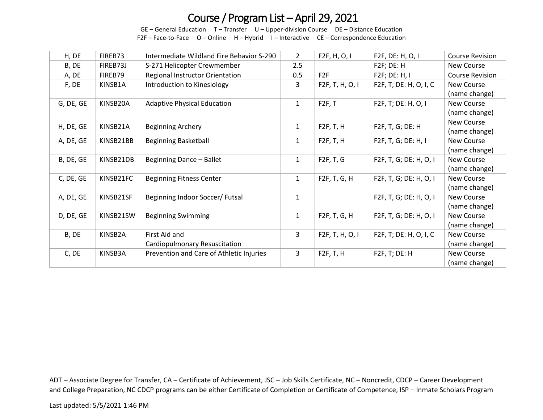GE – General Education T – Transfer U – Upper-division Course DE – Distance Education F2F – Face-to-Face O – Online H – Hybrid I – Interactive CE – Correspondence Education

| H, DE     | FIREB73   | Intermediate Wildland Fire Behavior S-290 | $\overline{2}$ | F2F, H, O, I           | F2F, DE: H, O, I       | <b>Course Revision</b> |
|-----------|-----------|-------------------------------------------|----------------|------------------------|------------------------|------------------------|
| B, DE     | FIREB73J  | S-271 Helicopter Crewmember               | 2.5            |                        | F2F; DE: H             | <b>New Course</b>      |
| A, DE     | FIREB79   | Regional Instructor Orientation           | 0.5            | F <sub>2F</sub>        | F2F; DE: H, I          | <b>Course Revision</b> |
| F, DE     | KINSB1A   | Introduction to Kinesiology               | 3              | F2F, T, H, O, I        | F2F, T; DE: H, O, I, C | <b>New Course</b>      |
|           |           |                                           |                |                        |                        | (name change)          |
| G, DE, GE | KINSB20A  | <b>Adaptive Physical Education</b>        | $\mathbf{1}$   | F2F, T                 | F2F, T; DE: H, O, I    | New Course             |
|           |           |                                           |                |                        |                        | (name change)          |
| H, DE, GE | KINSB21A  | <b>Beginning Archery</b>                  | $\mathbf{1}$   | F2F, T, H              | F2F, T, G; DE: H       | <b>New Course</b>      |
|           |           |                                           |                |                        |                        | (name change)          |
| A, DE, GE | KINSB21BB | <b>Beginning Basketball</b>               | $\mathbf{1}$   | F2F, T, H              | F2F, T, G; DE: H, I    | <b>New Course</b>      |
|           |           |                                           |                |                        |                        | (name change)          |
| B, DE, GE | KINSB21DB | Beginning Dance - Ballet                  | $\mathbf{1}$   | F2F, T, G              | F2F, T, G; DE: H, O, I | New Course             |
|           |           |                                           |                |                        |                        | (name change)          |
| C, DE, GE | KINSB21FC | <b>Beginning Fitness Center</b>           | $\mathbf{1}$   | F2F, T, G, H           | F2F, T, G; DE: H, O, I | New Course             |
|           |           |                                           |                |                        |                        | (name change)          |
| A, DE, GE | KINSB21SF | Beginning Indoor Soccer/ Futsal           | $\mathbf{1}$   |                        | F2F, T, G; DE: H, O, I | New Course             |
|           |           |                                           |                |                        |                        | (name change)          |
| D, DE, GE | KINSB21SW | <b>Beginning Swimming</b>                 | $\mathbf{1}$   | F2F, T, G, H           | F2F, T, G; DE: H, O, I | <b>New Course</b>      |
|           |           |                                           |                |                        |                        | (name change)          |
| B, DE     | KINSB2A   | First Aid and                             | 3              | F2F, T, H, O, I        | F2F, T; DE: H, O, I, C | New Course             |
|           |           | Cardiopulmonary Resuscitation             |                |                        |                        | (name change)          |
| C, DE     | KINSB3A   | Prevention and Care of Athletic Injuries  | 3              | F <sub>2F</sub> , T, H | F2F, T; DE: H          | <b>New Course</b>      |
|           |           |                                           |                |                        |                        | (name change)          |

ADT – Associate Degree for Transfer, CA – Certificate of Achievement, JSC – Job Skills Certificate, NC – Noncredit, CDCP – Career Development and College Preparation, NC CDCP programs can be either Certificate of Completion or Certificate of Competence, ISP – Inmate Scholars Program